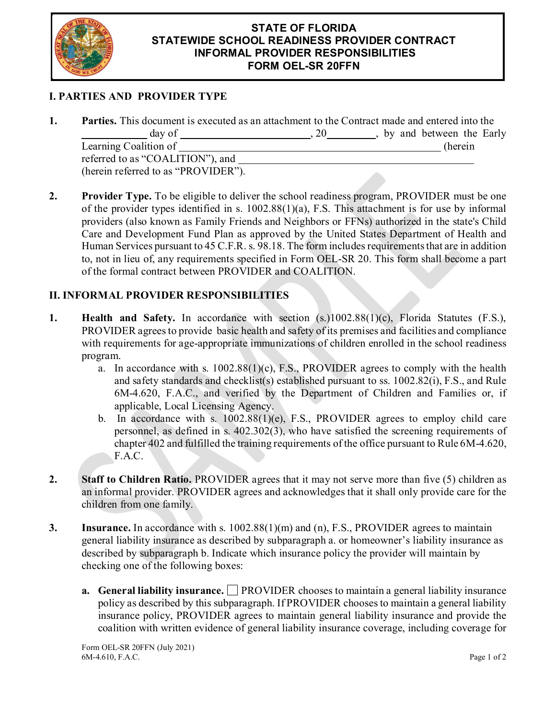

## **STATE OF FLORIDA STATEWIDE SCHOOL READINESS PROVIDER CONTRACT INFORMAL PROVIDER RESPONSIBILITIES FORM OEL-SR 20FFN**

## **I. PARTIES AND PROVIDER TYPE**

| <b>Parties.</b> This document is executed as an attachment to the Contract made and entered into the |    |                            |
|------------------------------------------------------------------------------------------------------|----|----------------------------|
| day of                                                                                               | 20 | , by and between the Early |
| Learning Coalition of                                                                                |    | (herein                    |
| referred to as "COALITION"), and                                                                     |    |                            |
| (herein referred to as "PROVIDER").                                                                  |    |                            |

**2. Provider Type.** To be eligible to deliver the school readiness program, PROVIDER must be one of the provider types identified in s. 1002.88(1)(a), F.S. This attachment is for use by informal providers (also known as Family Friends and Neighbors or FFNs) authorized in the state's Child Care and Development Fund Plan as approved by the United States Department of Health and Human Services pursuant to 45 C.F.R. s. 98.18. The form includes requirements that are in addition to, not in lieu of, any requirements specified in Form OEL-SR 20. This form shall become a part of the formal contract between PROVIDER and COALITION.

## **II. INFORMAL PROVIDER RESPONSIBILITIES**

- **1. Health and Safety.** In accordance with section (s.)1002.88(1)(c), Florida Statutes (F.S.), PROVIDER agrees to provide basic health and safety of its premises and facilities and compliance with requirements for age-appropriate immunizations of children enrolled in the school readiness program.
	- a. In accordance with s. 1002.88(1)(c), F.S., PROVIDER agrees to comply with the health and safety standards and checklist(s) established pursuant to ss. 1002.82(i), F.S., and Rule 6M-4.620, F.A.C., and verified by the Department of Children and Families or, if applicable, Local Licensing Agency.
	- b. In accordance with s. 1002.88(1)(e), F.S., PROVIDER agrees to employ child care personnel, as defined in s. 402.302(3), who have satisfied the screening requirements of chapter 402 and fulfilled the training requirements of the office pursuant to Rule 6M-4.620, F.A.C.
- **2. Staff to Children Ratio.** PROVIDER agrees that it may not serve more than five (5) children as an informal provider. PROVIDER agrees and acknowledges that it shall only provide care for the children from one family.
- **3. Insurance.** In accordance with s. 1002.88(1)(m) and (n), F.S., PROVIDER agrees to maintain general liability insurance as described by subparagraph a. or homeowner's liability insurance as described by subparagraph b. Indicate which insurance policy the provider will maintain by checking one of the following boxes:
	- **a.** General liability insurance. PROVIDER chooses to maintain a general liability insurance policy as described by this subparagraph. If PROVIDER chooses to maintain a general liability insurance policy, PROVIDER agrees to maintain general liability insurance and provide the coalition with written evidence of general liability insurance coverage, including coverage for